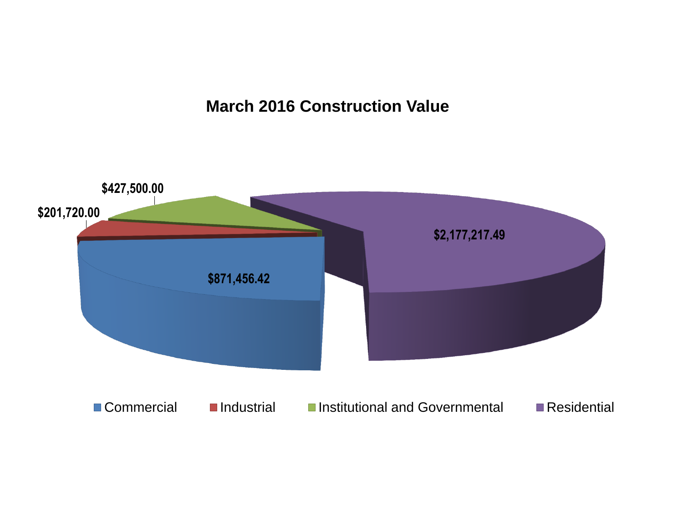### **March 2016 Construction Value**

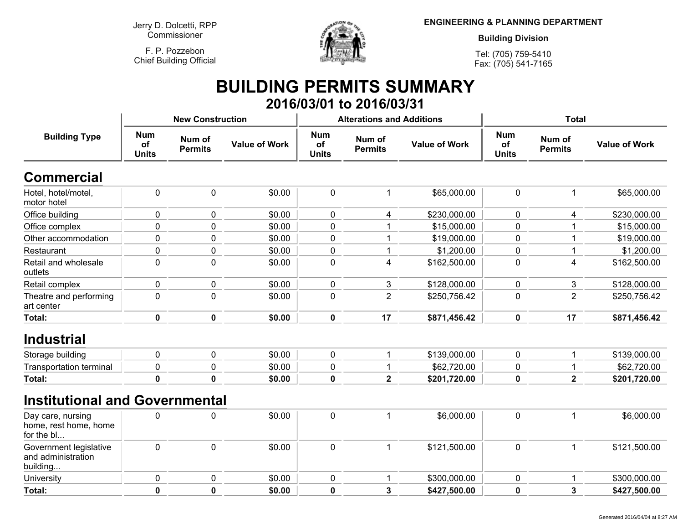**Jerry D. Dolcetti, RPPCommissioner**

**F. P. PozzebonChief Building Official**



**ENGINEERING & PLANNING DEPARTMENT**

**Building Division**

**Tel: (705) 759-5410Fax: (705) 541-7165**

## **BUILDING PERMITS SUMMARY 2016/03/01 to 2016/03/31**

| <b>Building Type</b>                                     |                                  | <b>New Construction</b>  |                      |                                  | <b>Alterations and Additions</b> |                      | <b>Total</b>                     |                          |                      |
|----------------------------------------------------------|----------------------------------|--------------------------|----------------------|----------------------------------|----------------------------------|----------------------|----------------------------------|--------------------------|----------------------|
|                                                          | <b>Num</b><br>of<br><b>Units</b> | Num of<br><b>Permits</b> | <b>Value of Work</b> | <b>Num</b><br>of<br><b>Units</b> | Num of<br><b>Permits</b>         | <b>Value of Work</b> | <b>Num</b><br>of<br><b>Units</b> | Num of<br><b>Permits</b> | <b>Value of Work</b> |
| <b>Commercial</b>                                        |                                  |                          |                      |                                  |                                  |                      |                                  |                          |                      |
| Hotel, hotel/motel,<br>motor hotel                       | $\mathbf 0$                      | $\pmb{0}$                | \$0.00               | 0                                | 1                                | \$65,000.00          | $\mathbf 0$                      | $\mathbf 1$              | \$65,000.00          |
| Office building                                          | $\mathbf 0$                      | 0                        | \$0.00               | 0                                | 4                                | \$230,000.00         | $\mathbf 0$                      | 4                        | \$230,000.00         |
| Office complex                                           | $\overline{0}$                   | $\mathbf 0$              | \$0.00               | $\mathbf 0$                      | 1                                | \$15,000.00          | $\mathbf 0$                      |                          | \$15,000.00          |
| Other accommodation                                      | $\mathbf 0$                      | 0                        | \$0.00               | 0                                |                                  | \$19,000.00          | $\mathbf 0$                      | 1                        | \$19,000.00          |
| Restaurant                                               | $\mathbf 0$                      | 0                        | \$0.00               | 0                                | 1                                | \$1,200.00           | $\pmb{0}$                        | -1                       | \$1,200.00           |
| Retail and wholesale<br>outlets                          | $\mathbf 0$                      | 0                        | \$0.00               | 0                                | $\overline{4}$                   | \$162,500.00         | $\mathbf 0$                      | 4                        | \$162,500.00         |
| Retail complex                                           | $\mathbf 0$                      | 0                        | \$0.00               | 0                                | 3                                | \$128,000.00         | $\mathbf 0$                      | 3                        | \$128,000.00         |
| Theatre and performing<br>art center                     | $\mathbf 0$                      | 0                        | \$0.00               | 0                                | $\overline{2}$                   | \$250,756.42         | $\mathbf 0$                      | $\overline{2}$           | \$250,756.42         |
| Total:                                                   | 0                                | $\mathbf 0$              | \$0.00               | 0                                | 17                               | \$871,456.42         | $\mathbf 0$                      | 17                       | \$871,456.42         |
| <b>Industrial</b>                                        |                                  |                          |                      |                                  |                                  |                      |                                  |                          |                      |
| Storage building                                         | $\mathbf 0$                      | 0                        | \$0.00               | 0                                | 1                                | \$139,000.00         | $\mathbf 0$                      | 1                        | \$139,000.00         |
| <b>Transportation terminal</b>                           | $\mathbf 0$                      | $\mathbf 0$              | \$0.00               | $\mathbf 0$                      | $\mathbf{1}$                     | \$62,720.00          | $\mathbf 0$                      | $\mathbf{1}$             | \$62,720.00          |
| Total:                                                   | $\bf{0}$                         | $\mathbf 0$              | \$0.00               | $\mathbf 0$                      | $\overline{\mathbf{2}}$          | \$201,720.00         | $\mathbf 0$                      | $\overline{\mathbf{2}}$  | \$201,720.00         |
| <b>Institutional and Governmental</b>                    |                                  |                          |                      |                                  |                                  |                      |                                  |                          |                      |
| Day care, nursing<br>home, rest home, home<br>for the bl | $\mathbf 0$                      | 0                        | \$0.00               | $\pmb{0}$                        | $\mathbf 1$                      | \$6,000.00           | $\mathbf 0$                      | $\mathbf{1}$             | \$6,000.00           |
| Government legislative<br>and administration<br>building | $\mathbf 0$                      | $\pmb{0}$                | \$0.00               | 0                                | 1                                | \$121,500.00         | $\mathbf 0$                      | $\mathbf{1}$             | \$121,500.00         |
| University                                               | $\mathbf 0$                      | 0                        | \$0.00               | 0                                | 1                                | \$300,000.00         | $\mathbf 0$                      | $\mathbf{1}$             | \$300,000.00         |
| Total:                                                   | $\mathbf 0$                      | $\mathbf 0$              | \$0.00               | $\mathbf 0$                      | $\overline{3}$                   | \$427,500.00         | $\mathbf 0$                      | $\mathbf{3}$             | \$427,500.00         |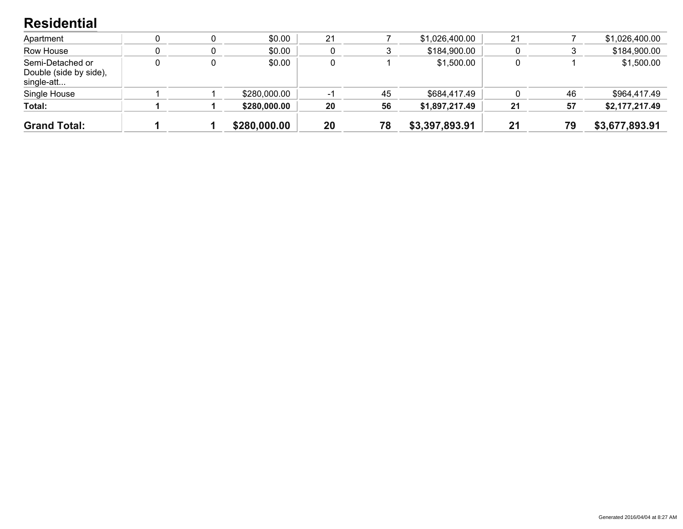#### **Residential**

| <b>Grand Total:</b>                                      |  | \$280,000.00 | 20 | 78 | \$3,397,893.91 | 21 | 79 | \$3,677,893.91 |
|----------------------------------------------------------|--|--------------|----|----|----------------|----|----|----------------|
| Total:                                                   |  | \$280,000.00 | 20 | 56 | \$1,897,217.49 | 21 | 57 | \$2,177,217.49 |
| Single House                                             |  | \$280,000.00 | -1 | 45 | \$684,417.49   |    | 46 | \$964,417.49   |
| Semi-Detached or<br>Double (side by side),<br>single-att |  | \$0.00       |    |    | \$1,500.00     |    |    | \$1,500.00     |
| Row House                                                |  | \$0.00       |    |    | \$184,900.00   |    |    | \$184,900.00   |
| Apartment                                                |  | \$0.00       | 21 |    | \$1,026,400.00 | 21 |    | \$1,026,400.00 |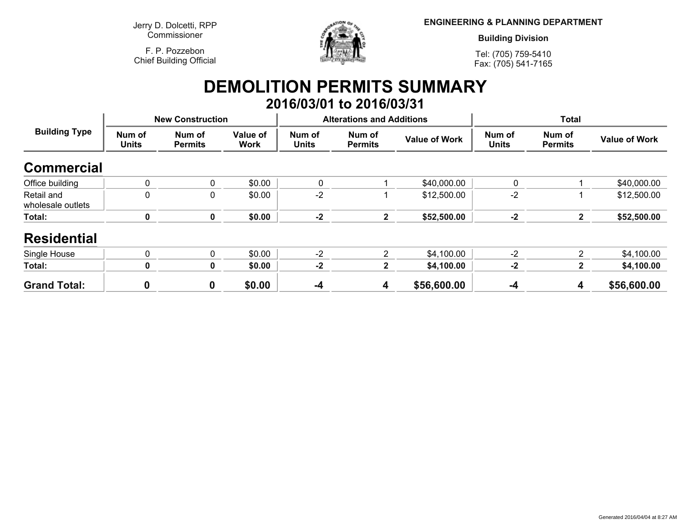**Jerry D. Dolcetti, RPPCommissioner**

**F. P. PozzebonChief Building Official**



**ENGINEERING & PLANNING DEPARTMENT**

**Building Division**

**Tel: (705) 759-5410Fax: (705) 541-7165**

### **DEMOLITION PERMITS SUMMARY 2016/03/01 to 2016/03/31**

| <b>Building Type</b>            |                        | <b>New Construction</b>  |                         |                        | <b>Alterations and Additions</b> |                      | <b>Total</b>           |                          |                      |
|---------------------------------|------------------------|--------------------------|-------------------------|------------------------|----------------------------------|----------------------|------------------------|--------------------------|----------------------|
|                                 | Num of<br><b>Units</b> | Num of<br><b>Permits</b> | Value of<br><b>Work</b> | Num of<br><b>Units</b> | Num of<br><b>Permits</b>         | <b>Value of Work</b> | Num of<br><b>Units</b> | Num of<br><b>Permits</b> | <b>Value of Work</b> |
| <b>Commercial</b>               |                        |                          |                         |                        |                                  |                      |                        |                          |                      |
| Office building                 | 0                      | 0                        | \$0.00                  | 0                      |                                  | \$40,000.00          | $\mathbf{0}$           |                          | \$40,000.00          |
| Retail and<br>wholesale outlets | 0                      | 0                        | \$0.00                  | $-2$                   |                                  | \$12,500.00          | $-2$                   |                          | \$12,500.00          |
| Total:                          | 0                      | 0                        | \$0.00                  | $-2$                   | $\mathbf{2}$                     | \$52,500.00          | $-2$                   | $\mathbf{2}$             | \$52,500.00          |
| <b>Residential</b>              |                        |                          |                         |                        |                                  |                      |                        |                          |                      |
| Single House                    | 0                      | 0                        | \$0.00                  | $-2$                   | 2                                | \$4,100.00           | $-2$                   | $\overline{2}$           | \$4,100.00           |
| Total:                          | 0                      | 0                        | \$0.00                  | $-2$                   | $\mathbf{2}$                     | \$4,100.00           | $-2$                   | $\mathbf{2}$             | \$4,100.00           |
| <b>Grand Total:</b>             |                        | 0                        | \$0.00                  | $-4$                   | 4                                | \$56,600.00          | $-4$                   | 4                        | \$56,600.00          |